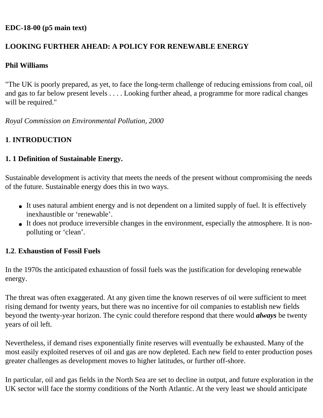#### **EDC-18-00 (p5 main text)**

### **LOOKING FURTHER AHEAD: A POLICY FOR RENEWABLE ENERGY**

#### **Phil Williams**

"The UK is poorly prepared, as yet, to face the long-term challenge of reducing emissions from coal, oil and gas to far below present levels . . . . Looking further ahead, a programme for more radical changes will be required."

*Royal Commission on Environmental Pollution, 2000*

## **1**. **INTRODUCTION**

#### **1. 1 Definition of Sustainable Energy.**

Sustainable development is activity that meets the needs of the present without compromising the needs of the future. Sustainable energy does this in two ways.

- It uses natural ambient energy and is not dependent on a limited supply of fuel. It is effectively inexhaustible or 'renewable'.
- It does not produce irreversible changes in the environment, especially the atmosphere. It is nonpolluting or 'clean'.

#### **1.2**. **Exhaustion of Fossil Fuels**

In the 1970s the anticipated exhaustion of fossil fuels was the justification for developing renewable energy.

The threat was often exaggerated. At any given time the known reserves of oil were sufficient to meet rising demand for twenty years, but there was no incentive for oil companies to establish new fields beyond the twenty-year horizon. The cynic could therefore respond that there would *always* be twenty years of oil left.

Nevertheless, if demand rises exponentially finite reserves will eventually be exhausted. Many of the most easily exploited reserves of oil and gas are now depleted. Each new field to enter production poses greater challenges as development moves to higher latitudes, or further off-shore.

In particular, oil and gas fields in the North Sea are set to decline in output, and future exploration in the UK sector will face the stormy conditions of the North Atlantic. At the very least we should anticipate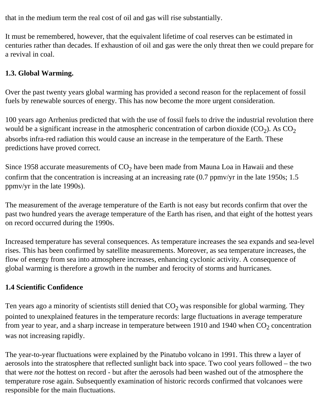that in the medium term the real cost of oil and gas will rise substantially.

It must be remembered, however, that the equivalent lifetime of coal reserves can be estimated in centuries rather than decades. If exhaustion of oil and gas were the only threat then we could prepare for a revival in coal.

## **1.3. Global Warming.**

Over the past twenty years global warming has provided a second reason for the replacement of fossil fuels by renewable sources of energy. This has now become the more urgent consideration.

100 years ago Arrhenius predicted that with the use of fossil fuels to drive the industrial revolution there would be a significant increase in the atmospheric concentration of carbon dioxide  $(CO<sub>2</sub>)$ . As  $CO<sub>2</sub>$ absorbs infra-red radiation this would cause an increase in the temperature of the Earth. These predictions have proved correct.

Since 1958 accurate measurements of  $CO<sub>2</sub>$  have been made from Mauna Loa in Hawaii and these confirm that the concentration is increasing at an increasing rate (0.7 ppmv/yr in the late 1950s; 1.5 ppmv/yr in the late 1990s).

The measurement of the average temperature of the Earth is not easy but records confirm that over the past two hundred years the average temperature of the Earth has risen, and that eight of the hottest years on record occurred during the 1990s.

Increased temperature has several consequences. As temperature increases the sea expands and sea-level rises. This has been confirmed by satellite measurements. Moreover, as sea temperature increases, the flow of energy from sea into atmosphere increases, enhancing cyclonic activity. A consequence of global warming is therefore a growth in the number and ferocity of storms and hurricanes.

## **1.4 Scientific Confidence**

Ten years ago a minority of scientists still denied that  $CO<sub>2</sub>$  was responsible for global warming. They pointed to unexplained features in the temperature records: large fluctuations in average temperature from year to year, and a sharp increase in temperature between 1910 and 1940 when  $CO<sub>2</sub>$  concentration was not increasing rapidly.

The year-to-year fluctuations were explained by the Pinatubo volcano in 1991. This threw a layer of aerosols into the stratosphere that reflected sunlight back into space. Two cool years followed – the two that were *not* the hottest on record - but after the aerosols had been washed out of the atmosphere the temperature rose again. Subsequently examination of historic records confirmed that volcanoes were responsible for the main fluctuations.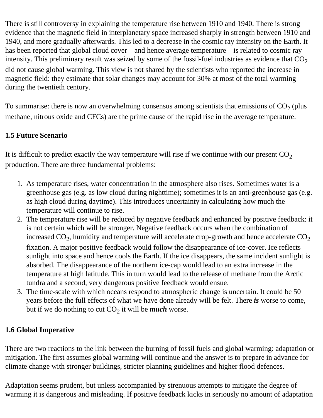There is still controversy in explaining the temperature rise between 1910 and 1940. There is strong evidence that the magnetic field in interplanetary space increased sharply in strength between 1910 and 1940, and more gradually afterwards. This led to a decrease in the cosmic ray intensity on the Earth. It has been reported that global cloud cover – and hence average temperature – is related to cosmic ray intensity. This preliminary result was seized by some of the fossil-fuel industries as evidence that  $CO<sub>2</sub>$ did not cause global warming. This view is not shared by the scientists who reported the increase in magnetic field: they estimate that solar changes may account for 30% at most of the total warming during the twentieth century.

To summarise: there is now an overwhelming consensus among scientists that emissions of  $CO<sub>2</sub>$  (plus methane, nitrous oxide and CFCs) are the prime cause of the rapid rise in the average temperature.

## **1.5 Future Scenario**

It is difficult to predict exactly the way temperature will rise if we continue with our present  $CO<sub>2</sub>$ production. There are three fundamental problems:

- 1. As temperature rises, water concentration in the atmosphere also rises. Sometimes water is a greenhouse gas (e.g. as low cloud during nighttime); sometimes it is an anti-greenhouse gas (e.g. as high cloud during daytime). This introduces uncertainty in calculating how much the temperature will continue to rise.
- 2. The temperature rise will be reduced by negative feedback and enhanced by positive feedback: it is not certain which will be stronger. Negative feedback occurs when the combination of increased  $CO_2$ , humidity and temperature will accelerate crop-growth and hence accelerate  $CO_2$ fixation. A major positive feedback would follow the disappearance of ice-cover. Ice reflects sunlight into space and hence cools the Earth. If the ice disappears, the same incident sunlight is absorbed. The disappearance of the northern ice-cap would lead to an extra increase in the temperature at high latitude. This in turn would lead to the release of methane from the Arctic tundra and a second, very dangerous positive feedback would ensue.
- 3. The time-scale with which oceans respond to atmospheric change is uncertain. It could be 50 years before the full effects of what we have done already will be felt. There *is* worse to come, but if we do nothing to cut  $CO<sub>2</sub>$  it will be *much* worse.

## **1.6 Global Imperative**

There are two reactions to the link between the burning of fossil fuels and global warming: adaptation or mitigation. The first assumes global warming will continue and the answer is to prepare in advance for climate change with stronger buildings, stricter planning guidelines and higher flood defences.

Adaptation seems prudent, but unless accompanied by strenuous attempts to mitigate the degree of warming it is dangerous and misleading. If positive feedback kicks in seriously no amount of adaptation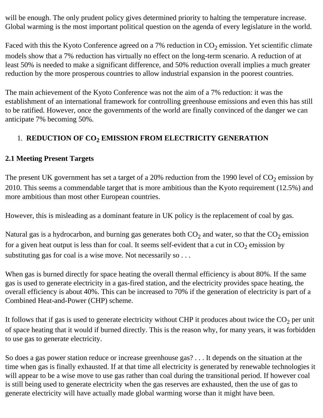will be enough. The only prudent policy gives determined priority to halting the temperature increase. Global warming is the most important political question on the agenda of every legislature in the world.

Faced with this the Kyoto Conference agreed on a 7% reduction in  $CO<sub>2</sub>$  emission. Yet scientific climate models show that a 7% reduction has virtually no effect on the long-term scenario. A reduction of at least 50% is needed to make a significant difference, and 50% reduction overall implies a much greater reduction by the more prosperous countries to allow industrial expansion in the poorest countries.

The main achievement of the Kyoto Conference was not the aim of a 7% reduction: it was the establishment of an international framework for controlling greenhouse emissions and even this has still to be ratified. However, once the governments of the world are finally convinced of the danger we can anticipate 7% becoming 50%.

## 1. **REDUCTION OF CO2 EMISSION FROM ELECTRICITY GENERATION**

#### **2.1 Meeting Present Targets**

The present UK government has set a target of a 20% reduction from the 1990 level of  $CO<sub>2</sub>$  emission by 2010. This seems a commendable target that is more ambitious than the Kyoto requirement (12.5%) and more ambitious than most other European countries.

However, this is misleading as a dominant feature in UK policy is the replacement of coal by gas.

Natural gas is a hydrocarbon, and burning gas generates both  $CO<sub>2</sub>$  and water, so that the  $CO<sub>2</sub>$  emission for a given heat output is less than for coal. It seems self-evident that a cut in  $CO<sub>2</sub>$  emission by substituting gas for coal is a wise move. Not necessarily so...

When gas is burned directly for space heating the overall thermal efficiency is about 80%. If the same gas is used to generate electricity in a gas-fired station, and the electricity provides space heating, the overall efficiency is about 40%. This can be increased to 70% if the generation of electricity is part of a Combined Heat-and-Power (CHP) scheme.

It follows that if gas is used to generate electricity without CHP it produces about twice the  $CO<sub>2</sub>$  per unit of space heating that it would if burned directly. This is the reason why, for many years, it was forbidden to use gas to generate electricity.

So does a gas power station reduce or increase greenhouse gas? . . . It depends on the situation at the time when gas is finally exhausted. If at that time all electricity is generated by renewable technologies it will appear to be a wise move to use gas rather than coal during the transitional period. If however coal is still being used to generate electricity when the gas reserves are exhausted, then the use of gas to generate electricity will have actually made global warming worse than it might have been.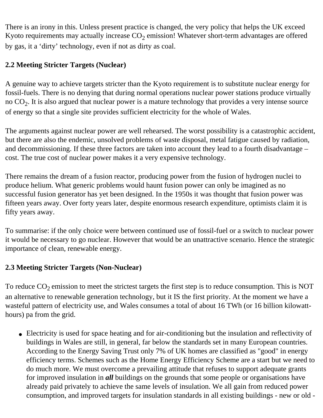There is an irony in this. Unless present practice is changed, the very policy that helps the UK exceed Kyoto requirements may actually increase  $CO<sub>2</sub>$  emission! Whatever short-term advantages are offered by gas, it a 'dirty' technology, even if not as dirty as coal.

## **2.2 Meeting Stricter Targets (Nuclear)**

A genuine way to achieve targets stricter than the Kyoto requirement is to substitute nuclear energy for fossil-fuels. There is no denying that during normal operations nuclear power stations produce virtually no  $CO<sub>2</sub>$ . It is also argued that nuclear power is a mature technology that provides a very intense source of energy so that a single site provides sufficient electricity for the whole of Wales.

The arguments against nuclear power are well rehearsed. The worst possibility is a catastrophic accident, but there are also the endemic, unsolved problems of waste disposal, metal fatigue caused by radiation, and decommissioning. If these three factors are taken into account they lead to a fourth disadvantage – cost. The true cost of nuclear power makes it a very expensive technology.

There remains the dream of a fusion reactor, producing power from the fusion of hydrogen nuclei to produce helium. What generic problems would haunt fusion power can only be imagined as no successful fusion generator has yet been designed. In the 1950s it was thought that fusion power was fifteen years away. Over forty years later, despite enormous research expenditure, optimists claim it is fifty years away.

To summarise: if the only choice were between continued use of fossil-fuel or a switch to nuclear power it would be necessary to go nuclear. However that would be an unattractive scenario. Hence the strategic importance of clean, renewable energy.

## **2.3 Meeting Stricter Targets (Non-Nuclear)**

To reduce  $CO_2$  emission to meet the strictest targets the first step is to reduce consumption. This is NOT an alternative to renewable generation technology, but it IS the first priority. At the moment we have a wasteful pattern of electricity use, and Wales consumes a total of about 16 TWh (or 16 billion kilowatthours) pa from the grid.

• Electricity is used for space heating and for air-conditioning but the insulation and reflectivity of buildings in Wales are still, in general, far below the standards set in many European countries. According to the Energy Saving Trust only 7% of UK homes are classified as "good" in energy efficiency terms. Schemes such as the Home Energy Efficiency Scheme are a start but we need to do much more. We must overcome a prevailing attitude that refuses to support adequate grants for improved insulation in *all* buildings on the grounds that some people or organisations have already paid privately to achieve the same levels of insulation. We all gain from reduced power consumption, and improved targets for insulation standards in all existing buildings - new or old -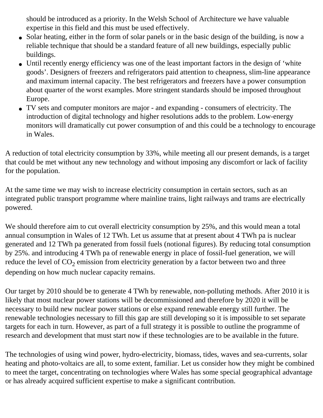should be introduced as a priority. In the Welsh School of Architecture we have valuable expertise in this field and this must be used effectively.

- Solar heating, either in the form of solar panels or in the basic design of the building, is now a reliable technique that should be a standard feature of all new buildings, especially public buildings.
- Until recently energy efficiency was one of the least important factors in the design of 'white goods'. Designers of freezers and refrigerators paid attention to cheapness, slim-line appearance and maximum internal capacity. The best refrigerators and freezers have a power consumption about quarter of the worst examples. More stringent standards should be imposed throughout Europe.
- TV sets and computer monitors are major and expanding consumers of electricity. The introduction of digital technology and higher resolutions adds to the problem. Low-energy monitors will dramatically cut power consumption of and this could be a technology to encourage in Wales.

A reduction of total electricity consumption by 33%, while meeting all our present demands, is a target that could be met without any new technology and without imposing any discomfort or lack of facility for the population.

At the same time we may wish to increase electricity consumption in certain sectors, such as an integrated public transport programme where mainline trains, light railways and trams are electrically powered.

We should therefore aim to cut overall electricity consumption by 25%, and this would mean a total annual consumption in Wales of 12 TWh. Let us assume that at present about 4 TWh pa is nuclear generated and 12 TWh pa generated from fossil fuels (notional figures). By reducing total consumption by 25%. and introducing 4 TWh pa of renewable energy in place of fossil-fuel generation, we will reduce the level of  $CO<sub>2</sub>$  emission from electricity generation by a factor between two and three depending on how much nuclear capacity remains.

Our target by 2010 should be to generate 4 TWh by renewable, non-polluting methods. After 2010 it is likely that most nuclear power stations will be decommissioned and therefore by 2020 it will be necessary to build new nuclear power stations or else expand renewable energy still further. The renewable technologies necessary to fill this gap are still developing so it is impossible to set separate targets for each in turn. However, as part of a full strategy it is possible to outline the programme of research and development that must start now if these technologies are to be available in the future.

The technologies of using wind power, hydro-electricity, biomass, tides, waves and sea-currents, solar heating and photo-voltaics are all, to some extent, familiar. Let us consider how they might be combined to meet the target, concentrating on technologies where Wales has some special geographical advantage or has already acquired sufficient expertise to make a significant contribution.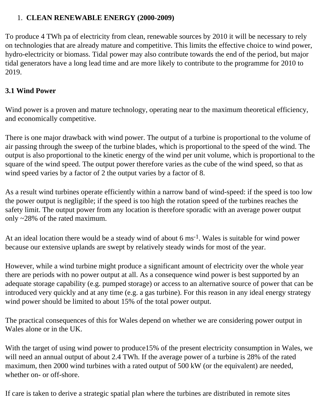### 1. **CLEAN RENEWABLE ENERGY (2000-2009)**

To produce 4 TWh pa of electricity from clean, renewable sources by 2010 it will be necessary to rely on technologies that are already mature and competitive. This limits the effective choice to wind power, hydro-electricity or biomass. Tidal power may also contribute towards the end of the period, but major tidal generators have a long lead time and are more likely to contribute to the programme for 2010 to 2019.

### **3.1 Wind Power**

Wind power is a proven and mature technology, operating near to the maximum theoretical efficiency, and economically competitive.

There is one major drawback with wind power. The output of a turbine is proportional to the volume of air passing through the sweep of the turbine blades, which is proportional to the speed of the wind. The output is also proportional to the kinetic energy of the wind per unit volume, which is proportional to the square of the wind speed. The output power therefore varies as the cube of the wind speed, so that as wind speed varies by a factor of 2 the output varies by a factor of 8.

As a result wind turbines operate efficiently within a narrow band of wind-speed: if the speed is too low the power output is negligible; if the speed is too high the rotation speed of the turbines reaches the safety limit. The output power from any location is therefore sporadic with an average power output only ~28% of the rated maximum.

At an ideal location there would be a steady wind of about 6 ms<sup>-1</sup>. Wales is suitable for wind power because our extensive uplands are swept by relatively steady winds for most of the year.

However, while a wind turbine might produce a significant amount of electricity over the whole year there are periods with no power output at all. As a consequence wind power is best supported by an adequate storage capability (e.g. pumped storage) or access to an alternative source of power that can be introduced very quickly and at any time (e.g. a gas turbine). For this reason in any ideal energy strategy wind power should be limited to about 15% of the total power output.

The practical consequences of this for Wales depend on whether we are considering power output in Wales alone or in the UK.

With the target of using wind power to produce15% of the present electricity consumption in Wales, we will need an annual output of about 2.4 TWh. If the average power of a turbine is 28% of the rated maximum, then 2000 wind turbines with a rated output of 500 kW (or the equivalent) are needed, whether on- or off-shore.

If care is taken to derive a strategic spatial plan where the turbines are distributed in remote sites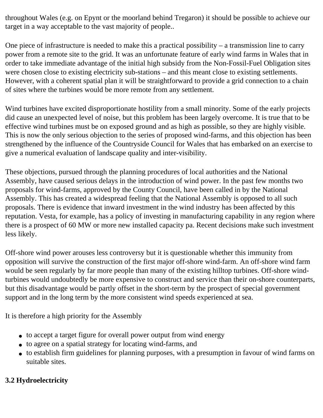throughout Wales (e.g. on Epynt or the moorland behind Tregaron) it should be possible to achieve our target in a way acceptable to the vast majority of people..

One piece of infrastructure is needed to make this a practical possibility – a transmission line to carry power from a remote site to the grid. It was an unfortunate feature of early wind farms in Wales that in order to take immediate advantage of the initial high subsidy from the Non-Fossil-Fuel Obligation sites were chosen close to existing electricity sub-stations – and this meant close to existing settlements. However, with a coherent spatial plan it will be straightforward to provide a grid connection to a chain of sites where the turbines would be more remote from any settlement.

Wind turbines have excited disproportionate hostility from a small minority. Some of the early projects did cause an unexpected level of noise, but this problem has been largely overcome. It is true that to be effective wind turbines must be on exposed ground and as high as possible, so they are highly visible. This is now the only serious objection to the series of proposed wind-farms, and this objection has been strengthened by the influence of the Countryside Council for Wales that has embarked on an exercise to give a numerical evaluation of landscape quality and inter-visibility.

These objections, pursued through the planning procedures of local authorities and the National Assembly, have caused serious delays in the introduction of wind power. In the past few months two proposals for wind-farms, approved by the County Council, have been called in by the National Assembly. This has created a widespread feeling that the National Assembly is opposed to all such proposals. There is evidence that inward investment in the wind industry has been affected by this reputation. Vesta, for example, has a policy of investing in manufacturing capability in any region where there is a prospect of 60 MW or more new installed capacity pa. Recent decisions make such investment less likely.

Off-shore wind power arouses less controversy but it is questionable whether this immunity from opposition will survive the construction of the first major off-shore wind-farm. An off-shore wind farm would be seen regularly by far more people than many of the existing hilltop turbines. Off-shore windturbines would undoubtedly be more expensive to construct and service than their on-shore counterparts, but this disadvantage would be partly offset in the short-term by the prospect of special government support and in the long term by the more consistent wind speeds experienced at sea.

It is therefore a high priority for the Assembly

- to accept a target figure for overall power output from wind energy
- to agree on a spatial strategy for locating wind-farms, and
- to establish firm guidelines for planning purposes, with a presumption in favour of wind farms on suitable sites.

#### **3.2 Hydroelectricity**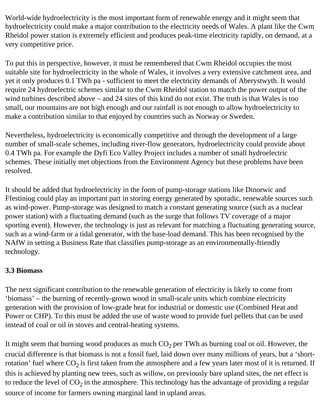World-wide hydroelectricity is the most important form of renewable energy and it might seem that hydroelectricity could make a major contribution to the electricity needs of Wales. A plant like the Cwm Rheidol power station is extremely efficient and produces peak-time electricity rapidly, on demand, at a very competitive price.

To put this in perspective, however, it must be remembered that Cwm Rheidol occupies the most suitable site for hydroelectricity in the whole of Wales, it involves a very extensive catchment area, and yet it only produces 0.1 TWh pa - sufficient to meet the electricity demands of Aberystwyth. It would require 24 hydroelectric schemes similar to the Cwm Rheidol station to match the power output of the wind turbines described above – and 24 sites of this kind do not exist. The truth is that Wales is too small, our mountains are not high enough and our rainfall is not enough to allow hydroelectricity to make a contribution similar to that enjoyed by countries such as Norway or Sweden.

Nevertheless, hydroelectricity is economically competitive and through the development of a large number of small-scale schemes, including river-flow generators, hydroelectricity could provide about 0.4 TWh pa. For example the Dyfi Eco Valley Project includes a number of small hydroelectric schemes. These initially met objections from the Environment Agency but these problems have been resolved.

It should be added that hydroelectricity in the form of pump-storage stations like Dinorwic and Ffestiniog could play an important part in storing energy generated by sporadic, renewable sources such as wind-power. Pump-storage was designed to match a constant generating source (such as a nuclear power station) with a fluctuating demand (such as the surge that follows TV coverage of a major sporting event). However, the technology is just as relevant for matching a fluctuating generating source, such as a wind-farm or a tidal generator, with the base-load demand. This has been recognised by the NAfW in setting a Business Rate that classifies pump-storage as an environmentally-friendly technology.

## **3.3 Biomass**

The next significant contribution to the renewable generation of electricity is likely to come from 'biomass' – the burning of recently-grown wood in small-scale units which combine electricity generation with the provision of low-grade heat for industrial or domestic use (Combined Heat and Power or CHP). To this must be added the use of waste wood to provide fuel pellets that can be used instead of coal or oil in stoves and central-heating systems.

It might seem that burning wood produces as much  $CO<sub>2</sub>$  per TWh as burning coal or oil. However, the crucial difference is that biomass is not a fossil fuel, laid down over many millions of years, but a 'shortrotation' fuel where  $CO<sub>2</sub>$  is first taken from the atmosphere and a few years later most of it is returned. If this is achieved by planting new trees, such as willow, on previously bare upland sites, the net effect is to reduce the level of  $CO<sub>2</sub>$  in the atmosphere. This technology has the advantage of providing a regular source of income for farmers owning marginal land in upland areas.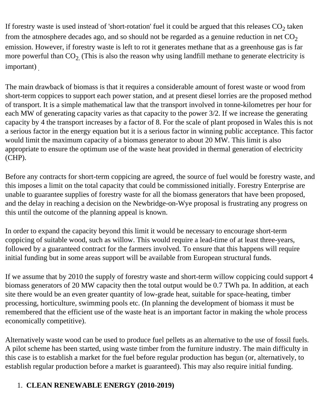If forestry waste is used instead of 'short-rotation' fuel it could be argued that this releases  $CO<sub>2</sub>$  taken from the atmosphere decades ago, and so should not be regarded as a genuine reduction in net  $CO<sub>2</sub>$ emission. However, if forestry waste is left to rot it generates methane that as a greenhouse gas is far more powerful than  $CO<sub>2</sub>$  (This is also the reason why using landfill methane to generate electricity is important) .

The main drawback of biomass is that it requires a considerable amount of forest waste or wood from short-term coppices to support each power station, and at present diesel lorries are the proposed method of transport. It is a simple mathematical law that the transport involved in tonne-kilometres per hour for each MW of generating capacity varies as that capacity to the power 3/2. If we increase the generating capacity by 4 the transport increases by a factor of 8. For the scale of plant proposed in Wales this is not a serious factor in the energy equation but it is a serious factor in winning public acceptance. This factor would limit the maximum capacity of a biomass generator to about 20 MW. This limit is also appropriate to ensure the optimum use of the waste heat provided in thermal generation of electricity (CHP).

Before any contracts for short-term coppicing are agreed, the source of fuel would be forestry waste, and this imposes a limit on the total capacity that could be commissioned initially. Forestry Enterprise are unable to guarantee supplies of forestry waste for all the biomass generators that have been proposed, and the delay in reaching a decision on the Newbridge-on-Wye proposal is frustrating any progress on this until the outcome of the planning appeal is known.

In order to expand the capacity beyond this limit it would be necessary to encourage short-term coppicing of suitable wood, such as willow. This would require a lead-time of at least three-years, followed by a guaranteed contract for the farmers involved. To ensure that this happens will require initial funding but in some areas support will be available from European structural funds.

If we assume that by 2010 the supply of forestry waste and short-term willow coppicing could support 4 biomass generators of 20 MW capacity then the total output would be 0.7 TWh pa. In addition, at each site there would be an even greater quantity of low-grade heat, suitable for space-heating, timber processing, horticulture, swimming pools etc. (In planning the development of biomass it must be remembered that the efficient use of the waste heat is an important factor in making the whole process economically competitive).

Alternatively waste wood can be used to produce fuel pellets as an alternative to the use of fossil fuels. A pilot scheme has been started, using waste timber from the furniture industry. The main difficulty in this case is to establish a market for the fuel before regular production has begun (or, alternatively, to establish regular production before a market is guaranteed). This may also require initial funding.

## 1. **CLEAN RENEWABLE ENERGY (2010-2019)**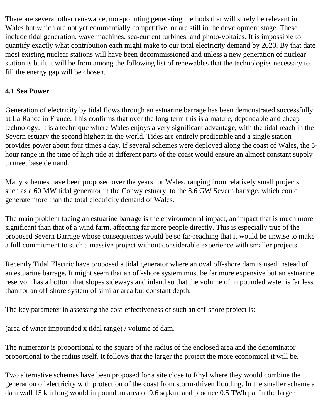There are several other renewable, non-polluting generating methods that will surely be relevant in Wales but which are not yet commercially competitive, or are still in the development stage. These include tidal generation, wave machines, sea-current turbines, and photo-voltaics. It is impossible to quantify exactly what contribution each might make to our total electricity demand by 2020. By that date most existing nuclear stations will have been decommissioned and unless a new generation of nuclear station is built it will be from among the following list of renewables that the technologies necessary to fill the energy gap will be chosen.

## **4.1 Sea Power**

Generation of electricity by tidal flows through an estuarine barrage has been demonstrated successfully at La Rance in France. This confirms that over the long term this is a mature, dependable and cheap technology. It is a technique where Wales enjoys a very significant advantage, with the tidal reach in the Severn estuary the second highest in the world. Tides are entirely predictable and a single station provides power about four times a day. If several schemes were deployed along the coast of Wales, the 5 hour range in the time of high tide at different parts of the coast would ensure an almost constant supply to meet base demand.

Many schemes have been proposed over the years for Wales, ranging from relatively small projects, such as a 60 MW tidal generator in the Conwy estuary, to the 8.6 GW Severn barrage, which could generate more than the total electricity demand of Wales.

The main problem facing an estuarine barrage is the environmental impact, an impact that is much more significant than that of a wind farm, affecting far more people directly. This is especially true of the proposed Severn Barrage whose consequences would be so far-reaching that it would be unwise to make a full commitment to such a massive project without considerable experience with smaller projects.

Recently Tidal Electric have proposed a tidal generator where an oval off-shore dam is used instead of an estuarine barrage. It might seem that an off-shore system must be far more expensive but an estuarine reservoir has a bottom that slopes sideways and inland so that the volume of impounded water is far less than for an off-shore system of similar area but constant depth.

The key parameter in assessing the cost-effectiveness of such an off-shore project is:

(area of water impounded x tidal range) / volume of dam.

The numerator is proportional to the square of the radius of the enclosed area and the denominator proportional to the radius itself. It follows that the larger the project the more economical it will be.

Two alternative schemes have been proposed for a site close to Rhyl where they would combine the generation of electricity with protection of the coast from storm-driven flooding. In the smaller scheme a dam wall 15 km long would impound an area of 9.6 sq.km. and produce 0.5 TWh pa. In the larger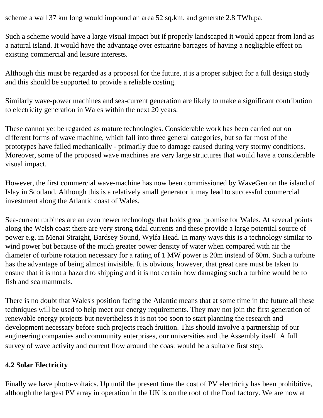scheme a wall 37 km long would impound an area 52 sq.km. and generate 2.8 TWh.pa.

Such a scheme would have a large visual impact but if properly landscaped it would appear from land as a natural island. It would have the advantage over estuarine barrages of having a negligible effect on existing commercial and leisure interests.

Although this must be regarded as a proposal for the future, it is a proper subject for a full design study and this should be supported to provide a reliable costing.

Similarly wave-power machines and sea-current generation are likely to make a significant contribution to electricity generation in Wales within the next 20 years.

These cannot yet be regarded as mature technologies. Considerable work has been carried out on different forms of wave machine, which fall into three general categories, but so far most of the prototypes have failed mechanically - primarily due to damage caused during very stormy conditions. Moreover, some of the proposed wave machines are very large structures that would have a considerable visual impact.

However, the first commercial wave-machine has now been commissioned by WaveGen on the island of Islay in Scotland. Although this is a relatively small generator it may lead to successful commercial investment along the Atlantic coast of Wales.

Sea-current turbines are an even newer technology that holds great promise for Wales. At several points along the Welsh coast there are very strong tidal currents and these provide a large potential source of power e.g. in Menai Straight, Bardsey Sound, Wylfa Head. In many ways this is a technology similar to wind power but because of the much greater power density of water when compared with air the diameter of turbine rotation necessary for a rating of 1 MW power is 20m instead of 60m. Such a turbine has the advantage of being almost invisible. It is obvious, however, that great care must be taken to ensure that it is not a hazard to shipping and it is not certain how damaging such a turbine would be to fish and sea mammals.

There is no doubt that Wales's position facing the Atlantic means that at some time in the future all these techniques will be used to help meet our energy requirements. They may not join the first generation of renewable energy projects but nevertheless it is not too soon to start planning the research and development necessary before such projects reach fruition. This should involve a partnership of our engineering companies and community enterprises, our universities and the Assembly itself. A full survey of wave activity and current flow around the coast would be a suitable first step.

## **4.2 Solar Electricity**

Finally we have photo-voltaics. Up until the present time the cost of PV electricity has been prohibitive, although the largest PV array in operation in the UK is on the roof of the Ford factory. We are now at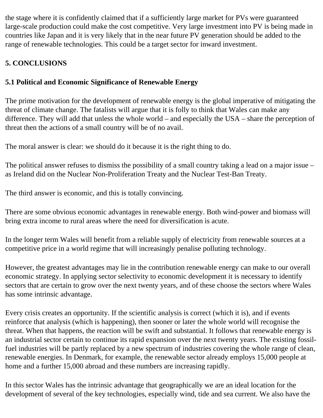the stage where it is confidently claimed that if a sufficiently large market for PVs were guaranteed large-scale production could make the cost competitive. Very large investment into PV is being made in countries like Japan and it is very likely that in the near future PV generation should be added to the range of renewable technologies. This could be a target sector for inward investment.

# **5. CONCLUSIONS**

## **5.1 Political and Economic Significance of Renewable Energy**

The prime motivation for the development of renewable energy is the global imperative of mitigating the threat of climate change. The fatalists will argue that it is folly to think that Wales can make any difference. They will add that unless the whole world – and especially the USA – share the perception of threat then the actions of a small country will be of no avail.

The moral answer is clear: we should do it because it is the right thing to do.

The political answer refuses to dismiss the possibility of a small country taking a lead on a major issue – as Ireland did on the Nuclear Non-Proliferation Treaty and the Nuclear Test-Ban Treaty.

The third answer is economic, and this is totally convincing.

There are some obvious economic advantages in renewable energy. Both wind-power and biomass will bring extra income to rural areas where the need for diversification is acute.

In the longer term Wales will benefit from a reliable supply of electricity from renewable sources at a competitive price in a world regime that will increasingly penalise polluting technology.

However, the greatest advantages may lie in the contribution renewable energy can make to our overall economic strategy. In applying sector selectivity to economic development it is necessary to identify sectors that are certain to grow over the next twenty years, and of these choose the sectors where Wales has some intrinsic advantage.

Every crisis creates an opportunity. If the scientific analysis is correct (which it is), and if events reinforce that analysis (which is happening), then sooner or later the whole world will recognise the threat. When that happens, the reaction will be swift and substantial. It follows that renewable energy is an industrial sector certain to continue its rapid expansion over the next twenty years. The existing fossilfuel industries will be partly replaced by a new spectrum of industries covering the whole range of clean, renewable energies. In Denmark, for example, the renewable sector already employs 15,000 people at home and a further 15,000 abroad and these numbers are increasing rapidly.

In this sector Wales has the intrinsic advantage that geographically we are an ideal location for the development of several of the key technologies, especially wind, tide and sea current. We also have the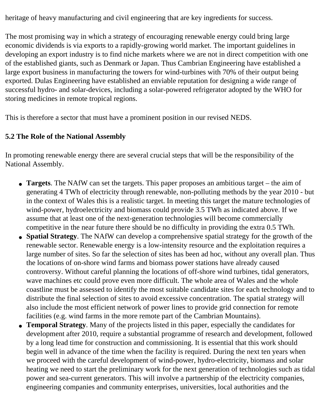heritage of heavy manufacturing and civil engineering that are key ingredients for success.

The most promising way in which a strategy of encouraging renewable energy could bring large economic dividends is via exports to a rapidly-growing world market. The important guidelines in developing an export industry is to find niche markets where we are not in direct competition with one of the established giants, such as Denmark or Japan. Thus Cambrian Engineering have established a large export business in manufacturing the towers for wind-turbines with 70% of their output being exported. Dulas Engineering have established an enviable reputation for designing a wide range of successful hydro- and solar-devices, including a solar-powered refrigerator adopted by the WHO for storing medicines in remote tropical regions.

This is therefore a sector that must have a prominent position in our revised NEDS.

## **5.2 The Role of the National Assembly**

In promoting renewable energy there are several crucial steps that will be the responsibility of the National Assembly.

- **Targets**. The NAfW can set the targets. This paper proposes an ambitious target the aim of generating 4 TWh of electricity through renewable, non-polluting methods by the year 2010 - but in the context of Wales this is a realistic target. In meeting this target the mature technologies of wind-power, hydroelectricity and biomass could provide 3.5 TWh as indicated above. If we assume that at least one of the next-generation technologies will become commercially competitive in the near future there should be no difficulty in providing the extra 0.5 TWh.
- **Spatial Strategy**. The NAfW can develop a comprehensive spatial strategy for the growth of the renewable sector. Renewable energy is a low-intensity resource and the exploitation requires a large number of sites. So far the selection of sites has been ad hoc, without any overall plan. Thus the locations of on-shore wind farms and biomass power stations have already caused controversy. Without careful planning the locations of off-shore wind turbines, tidal generators, wave machines etc could prove even more difficult. The whole area of Wales and the whole coastline must be assessed to identify the most suitable candidate sites for each technology and to distribute the final selection of sites to avoid excessive concentration. The spatial strategy will also include the most efficient network of power lines to provide grid connection for remote facilities (e.g. wind farms in the more remote part of the Cambrian Mountains).
- **Temporal Strategy**. Many of the projects listed in this paper, especially the candidates for development after 2010, require a substantial programme of research and development, followed by a long lead time for construction and commissioning. It is essential that this work should begin well in advance of the time when the facility is required. During the next ten years when we proceed with the careful development of wind-power, hydro-electricity, biomass and solar heating we need to start the preliminary work for the next generation of technologies such as tidal power and sea-current generators. This will involve a partnership of the electricity companies, engineering companies and community enterprises, universities, local authorities and the